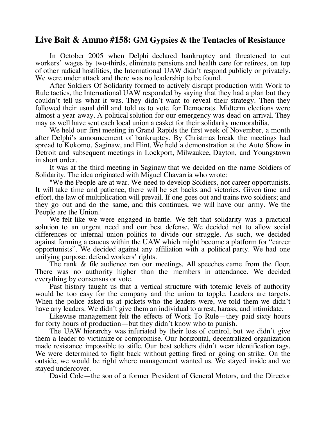## **Live Bait & Ammo #158: GM Gypsies & the Tentacles of Resistance**

In October 2005 when Delphi declared bankruptcy and threatened to cut workers' wages by two-thirds, eliminate pensions and health care for retirees, on top of other radical hostilities, the International UAW didn't respond publicly or privately. We were under attack and there was no leadership to be found.

After Soldiers Of Solidarity formed to actively disrupt production with Work to Rule tactics, the International UAW responded by saying that they had a plan but they couldn't tell us what it was. They didn't want to reveal their strategy. Then they followed their usual drill and told us to vote for Democrats. Midterm elections were almost a year away. A political solution for our emergency was dead on arrival. They may as well have sent each local union a casket for their solidarity memorabilia.

We held our first meeting in Grand Rapids the first week of November, a month after Delphi's announcement of bankruptcy. By Christmas break the meetings had spread to Kokomo, Saginaw, and Flint. We held a demonstration at the Auto Show in Detroit and subsequent meetings in Lockport, Milwaukee, Dayton, and Youngstown in short order.

It was at the third meeting in Saginaw that we decided on the name Soldiers of Solidarity. The idea originated with Miguel Chavarria who wrote:

"We the People are at war. We need to develop Soldiers, not career opportunists. It will take time and patience, there will be set backs and victories. Given time and effort, the law of multiplication will prevail. If one goes out and trains two soldiers; and they go out and do the same, and this continues, we will have our army. We the People are the Union."

We felt like we were engaged in battle. We felt that solidarity was a practical solution to an urgent need and our best defense. We decided not to allow social differences or internal union politics to divide our struggle. As such, we decided against forming a caucus within the UAW which might become a platform for "career opportunists". We decided against any affiliation with a political party. We had one unifying purpose: defend workers' rights.

The rank & file audience ran our meetings. All speeches came from the floor. There was no authority higher than the members in attendance. We decided everything by consensus or vote.

Past history taught us that a vertical structure with totemic levels of authority would be too easy for the company and the union to topple. Leaders are targets. When the police asked us at pickets who the leaders were, we told them we didn't have any leaders. We didn't give them an individual to arrest, harass, and intimidate.

Likewise management felt the effects of Work To Rule—they paid sixty hours for forty hours of production—but they didn't know who to punish.

The UAW hierarchy was infuriated by their loss of control, but we didn't give them a leader to victimize or compromise. Our horizontal, decentralized organization made resistance impossible to stifle. Our best soldiers didn't wear identification tags. We were determined to fight back without getting fired or going on strike. On the outside, we would be right where management wanted us. We stayed inside and we stayed undercover.

David Cole—the son of a former President of General Motors, and the Director